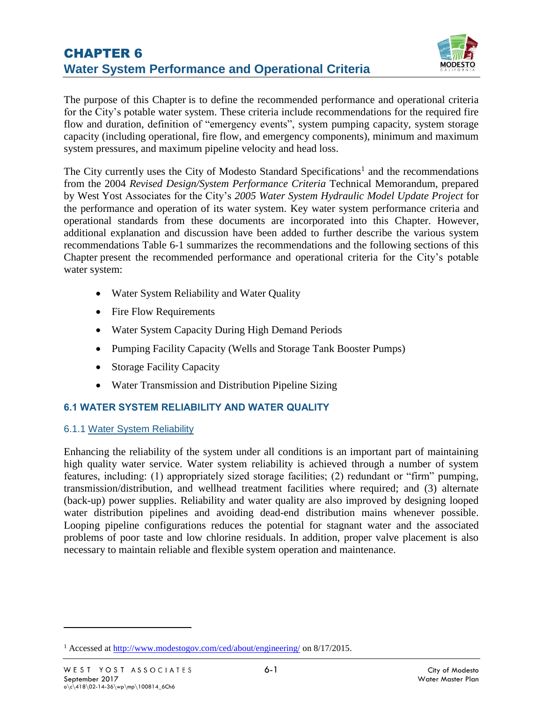

The purpose of this Chapter is to define the recommended performance and operational criteria for the City's potable water system. These criteria include recommendations for the required fire flow and duration, definition of "emergency events", system pumping capacity, system storage capacity (including operational, fire flow, and emergency components), minimum and maximum system pressures, and maximum pipeline velocity and head loss.

The City currently uses the City of Modesto Standard Specifications<sup>1</sup> and the recommendations from the 2004 *Revised Design/System Performance Criteria* Technical Memorandum, prepared by West Yost Associates for the City's *2005 Water System Hydraulic Model Update Project* for the performance and operation of its water system. Key water system performance criteria and operational standards from these documents are incorporated into this Chapter. However, additional explanation and discussion have been added to further describe the various system recommendations [Table 6-1](#page-1-0) summarizes the recommendations and the following sections of this Chapter present the recommended performance and operational criteria for the City's potable water system:

- Water System Reliability and Water Quality
- Fire Flow Requirements
- Water System Capacity During High Demand Periods
- Pumping Facility Capacity (Wells and Storage Tank Booster Pumps)
- Storage Facility Capacity
- Water Transmission and Distribution Pipeline Sizing

# **6.1 WATER SYSTEM RELIABILITY AND WATER QUALITY**

# 6.1.1 Water System Reliability

Enhancing the reliability of the system under all conditions is an important part of maintaining high quality water service. Water system reliability is achieved through a number of system features, including: (1) appropriately sized storage facilities; (2) redundant or "firm" pumping, transmission/distribution, and wellhead treatment facilities where required; and (3) alternate (back-up) power supplies. Reliability and water quality are also improved by designing looped water distribution pipelines and avoiding dead-end distribution mains whenever possible. Looping pipeline configurations reduces the potential for stagnant water and the associated problems of poor taste and low chlorine residuals. In addition, proper valve placement is also necessary to maintain reliable and flexible system operation and maintenance.

 $\overline{a}$ 

<sup>&</sup>lt;sup>1</sup> Accessed a[t http://www.modestogov.com/ced/about/engineering/](http://www.modestogov.com/ced/about/engineering/) on 8/17/2015.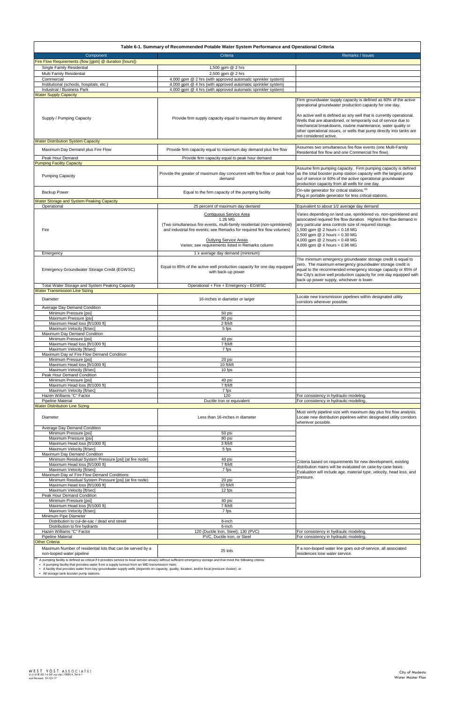<span id="page-1-0"></span>

| Table 6-1. Summary of Recommended Potable Water System Performance and Operational Criteria |                                                                                                                                                                                                                                                                                         |                                                                                                                                                                                                                                                                                                                                            |  |  |  |  |  |  |
|---------------------------------------------------------------------------------------------|-----------------------------------------------------------------------------------------------------------------------------------------------------------------------------------------------------------------------------------------------------------------------------------------|--------------------------------------------------------------------------------------------------------------------------------------------------------------------------------------------------------------------------------------------------------------------------------------------------------------------------------------------|--|--|--|--|--|--|
| Component                                                                                   | Criteria                                                                                                                                                                                                                                                                                | Remarks / Issues                                                                                                                                                                                                                                                                                                                           |  |  |  |  |  |  |
| Fire Flow Requirements (flow [gpm] @ duration [hours])                                      |                                                                                                                                                                                                                                                                                         |                                                                                                                                                                                                                                                                                                                                            |  |  |  |  |  |  |
| Single Family Residential                                                                   | 1,500 gpm @ 2 hrs                                                                                                                                                                                                                                                                       |                                                                                                                                                                                                                                                                                                                                            |  |  |  |  |  |  |
| Multi Family Residential                                                                    | 2,500 gpm @ 2 hrs                                                                                                                                                                                                                                                                       |                                                                                                                                                                                                                                                                                                                                            |  |  |  |  |  |  |
| Commercial<br>Institutional (schools, hospitals, etc.)                                      | 4,000 gpm @ 2 hrs (with approved automatic sprinkler system)<br>4,000 gpm @ 4 hrs (with approved automatic sprinkler system)                                                                                                                                                            |                                                                                                                                                                                                                                                                                                                                            |  |  |  |  |  |  |
| Industrial / Business Park                                                                  | 4,000 gpm @ 4 hrs (with approved automatic sprinkler system)                                                                                                                                                                                                                            |                                                                                                                                                                                                                                                                                                                                            |  |  |  |  |  |  |
| <b>Water Supply Capacity</b>                                                                |                                                                                                                                                                                                                                                                                         |                                                                                                                                                                                                                                                                                                                                            |  |  |  |  |  |  |
|                                                                                             |                                                                                                                                                                                                                                                                                         | Firm groundwater supply capacity is defined as 60% of the active<br>operational groundwater production capacity for one day.                                                                                                                                                                                                               |  |  |  |  |  |  |
| Supply / Pumping Capacity                                                                   | Provide firm supply capacity equal to maximum day demand                                                                                                                                                                                                                                | An active well is defined as any well that is currently operational.<br>Wells that are abandoned, or temporarily out of service due to<br>mechanical breakdowns, routine maintenance, water quality or<br>other operational issues, or wells that pump directly into tanks are<br>not considered active.                                   |  |  |  |  |  |  |
| <b>Water Distribution System Capacity</b>                                                   |                                                                                                                                                                                                                                                                                         |                                                                                                                                                                                                                                                                                                                                            |  |  |  |  |  |  |
| Maximum Day Demand plus Fire Flow                                                           | Provide firm capacity equal to maximum day demand plus fire flow                                                                                                                                                                                                                        | Assumes two simultaneous fire flow events (one Multi-Family<br>Residential fire flow and one Commercial fire flow).                                                                                                                                                                                                                        |  |  |  |  |  |  |
| Peak Hour Demand<br><b>Pumping Facility Capacity</b>                                        | Provide firm capacity equal to peak hour demand                                                                                                                                                                                                                                         |                                                                                                                                                                                                                                                                                                                                            |  |  |  |  |  |  |
| <b>Pumping Capacity</b>                                                                     | Provide the greater of maximum day concurrent with fire flow or peak hour<br>demand                                                                                                                                                                                                     | Assume firm pumping capacity. Firm pumping capacity is defined<br>as the total booster pump station capacity with the largest pump<br>out of service or 60% of the active operational groundwater<br>production capacity from all wells for one day.                                                                                       |  |  |  |  |  |  |
| <b>Backup Power</b>                                                                         | Equal to the firm capacity of the pumping facility                                                                                                                                                                                                                                      | On-site generator for critical stations. <sup>(a)</sup><br>Plug in portable generator for less critical stations.                                                                                                                                                                                                                          |  |  |  |  |  |  |
| <b>Water Storage and System Peaking Capacity</b>                                            |                                                                                                                                                                                                                                                                                         |                                                                                                                                                                                                                                                                                                                                            |  |  |  |  |  |  |
| Operational                                                                                 | 25 percent of maximum day demand                                                                                                                                                                                                                                                        | Equivalent to about 1/2 average day demand                                                                                                                                                                                                                                                                                                 |  |  |  |  |  |  |
| Fire                                                                                        | <b>Contiguous Service Area</b><br>1.26 MG<br>(Two simultaneous fire events, multi-family residential (non-sprinklered)<br>and industrial fire events; see Remarks for required fire flow volumes)<br><b>Outlying Service Areas</b><br>Varies; see requirements listed in Remarks column | Varies depending on land use, sprinklered vs. non-sprinklered and<br>associated required fire flow duration. Highest fire flow demand in<br>any particular area controls size of required storage.<br>1,500 gpm $@$ 2 hours = 0.18 MG<br>2,500 gpm @ 2 hours = 0.30 MG<br>4,000 gpm $@$ 2 hours = 0.48 MG<br>4,000 gpm @ 4 hours = 0.96 MG |  |  |  |  |  |  |
| Emergency                                                                                   | 1 x average day demand (minimum)                                                                                                                                                                                                                                                        |                                                                                                                                                                                                                                                                                                                                            |  |  |  |  |  |  |
| Emergency Groundwater Storage Credit (EGWSC)                                                | Equal to 85% of the active well production capacity for one day equipped<br>with back-up power                                                                                                                                                                                          | The minimum emergency groundwater storage credit is equal to<br>zero. The maximum emergency groundwater storage credit is<br>equal to the recommended emergency storage capacity or 85% of<br>the City's active well production capacity for one day equipped with<br>back up power supply, whichever is lower.                            |  |  |  |  |  |  |
| Total Water Storage and System Peaking Capacity                                             | Operational + Fire + Emergency - EGWSC                                                                                                                                                                                                                                                  |                                                                                                                                                                                                                                                                                                                                            |  |  |  |  |  |  |
| <b>Water Transmission Line Sizing</b>                                                       |                                                                                                                                                                                                                                                                                         |                                                                                                                                                                                                                                                                                                                                            |  |  |  |  |  |  |
| Diameter                                                                                    | 16-inches in diameter or larger                                                                                                                                                                                                                                                         | Locate new transmission pipelines within designated utility<br>corridors wherever possible.                                                                                                                                                                                                                                                |  |  |  |  |  |  |
| Average Day Demand Condition                                                                |                                                                                                                                                                                                                                                                                         |                                                                                                                                                                                                                                                                                                                                            |  |  |  |  |  |  |
| Minimum Pressure [psi]<br>Maximum Pressure [psi]                                            | 50 psi<br>80 psi                                                                                                                                                                                                                                                                        |                                                                                                                                                                                                                                                                                                                                            |  |  |  |  |  |  |
| Maximum Head loss [ft/1000 ft]                                                              | 2 ft/kft                                                                                                                                                                                                                                                                                |                                                                                                                                                                                                                                                                                                                                            |  |  |  |  |  |  |
| Maximum Velocity [ft/sec]                                                                   | 5 fps                                                                                                                                                                                                                                                                                   |                                                                                                                                                                                                                                                                                                                                            |  |  |  |  |  |  |
| Maximum Day Demand Condition                                                                |                                                                                                                                                                                                                                                                                         |                                                                                                                                                                                                                                                                                                                                            |  |  |  |  |  |  |
| Minimum Pressure [psi]<br>Maximum Head loss [ft/1000 ft]                                    | 40 psi<br>$7$ ft/kft                                                                                                                                                                                                                                                                    |                                                                                                                                                                                                                                                                                                                                            |  |  |  |  |  |  |
| Maximum Velocity [ft/sec]                                                                   | 7 fps                                                                                                                                                                                                                                                                                   |                                                                                                                                                                                                                                                                                                                                            |  |  |  |  |  |  |
| Maximum Day w/ Fire Flow Demand Condition                                                   |                                                                                                                                                                                                                                                                                         |                                                                                                                                                                                                                                                                                                                                            |  |  |  |  |  |  |
| Minimum Pressure [psi]                                                                      | 20 psi                                                                                                                                                                                                                                                                                  |                                                                                                                                                                                                                                                                                                                                            |  |  |  |  |  |  |
| Maximum Head loss [ft/1000 ft]<br>Maximum Velocity [ft/sec]                                 | 10 ft/kft<br>10 fps                                                                                                                                                                                                                                                                     |                                                                                                                                                                                                                                                                                                                                            |  |  |  |  |  |  |
| Peak Hour Demand Condition                                                                  |                                                                                                                                                                                                                                                                                         |                                                                                                                                                                                                                                                                                                                                            |  |  |  |  |  |  |
| Minimum Pressure [psi]                                                                      | 40 psi                                                                                                                                                                                                                                                                                  |                                                                                                                                                                                                                                                                                                                                            |  |  |  |  |  |  |
| Maximum Head loss [ft/1000 ft]                                                              | 7 ft/kft                                                                                                                                                                                                                                                                                |                                                                                                                                                                                                                                                                                                                                            |  |  |  |  |  |  |
| Maximum Velocity [ft/sec]<br>Hazen Williams "C" Factor                                      | 7 fps<br>120                                                                                                                                                                                                                                                                            | For consistency in hydraulic modeling.                                                                                                                                                                                                                                                                                                     |  |  |  |  |  |  |
| <b>Pipeline Material</b>                                                                    | Ductile Iron or equivalent                                                                                                                                                                                                                                                              | For consistency in hydraulic modeling.                                                                                                                                                                                                                                                                                                     |  |  |  |  |  |  |
| <b>Water Distribution Line Sizing</b>                                                       |                                                                                                                                                                                                                                                                                         |                                                                                                                                                                                                                                                                                                                                            |  |  |  |  |  |  |
| Diameter                                                                                    | Less than 16-inches in diameter                                                                                                                                                                                                                                                         | Must verify pipeline size with maximum day plus fire flow analysis.<br>Locate new distribution pipelines within designated utility corridors<br>wherever possible.                                                                                                                                                                         |  |  |  |  |  |  |
| Average Day Demand Condition<br>Minimum Pressure [psi]                                      |                                                                                                                                                                                                                                                                                         |                                                                                                                                                                                                                                                                                                                                            |  |  |  |  |  |  |
| Maximum Pressure [psi]                                                                      | 50 psi<br>80 psi                                                                                                                                                                                                                                                                        |                                                                                                                                                                                                                                                                                                                                            |  |  |  |  |  |  |
| Maximum Head loss [ft/1000 ft]                                                              | 3 ft/kft                                                                                                                                                                                                                                                                                |                                                                                                                                                                                                                                                                                                                                            |  |  |  |  |  |  |
| Maximum Velocity [ft/sec]                                                                   | 5 fps                                                                                                                                                                                                                                                                                   |                                                                                                                                                                                                                                                                                                                                            |  |  |  |  |  |  |
| Maximum Day Demand Condition<br>Minimum Residual System Pressure [psi] (at fire node)       | 40 psi                                                                                                                                                                                                                                                                                  |                                                                                                                                                                                                                                                                                                                                            |  |  |  |  |  |  |
| Maximum Head loss [ft/1000 ft]                                                              | 7 ft/kft                                                                                                                                                                                                                                                                                | Criteria based on requirements for new development, existing                                                                                                                                                                                                                                                                               |  |  |  |  |  |  |
| Maximum Velocity [ft/sec]                                                                   | 7 fps                                                                                                                                                                                                                                                                                   | distribution mains will be evaluated on case-by-case basis.<br>Evaluation will include age, material type, velocity, head loss, and                                                                                                                                                                                                        |  |  |  |  |  |  |
| Maximum Day w/ Fire Flow Demand Conditions                                                  |                                                                                                                                                                                                                                                                                         | pressure.                                                                                                                                                                                                                                                                                                                                  |  |  |  |  |  |  |
| Minimum Residual System Pressure [psi] (at fire node)                                       | 20 psi<br>10 ft/kft                                                                                                                                                                                                                                                                     |                                                                                                                                                                                                                                                                                                                                            |  |  |  |  |  |  |
| Maximum Head loss [ft/1000 ft]<br>Maximum Velocity [ft/sec]                                 | 12 fps                                                                                                                                                                                                                                                                                  |                                                                                                                                                                                                                                                                                                                                            |  |  |  |  |  |  |
| Peak Hour Demand Condition                                                                  |                                                                                                                                                                                                                                                                                         |                                                                                                                                                                                                                                                                                                                                            |  |  |  |  |  |  |
| Minimum Pressure [psi]                                                                      | 40 psi                                                                                                                                                                                                                                                                                  |                                                                                                                                                                                                                                                                                                                                            |  |  |  |  |  |  |
| Maximum Head loss [ft/1000 ft]<br>Maximum Velocity [ft/sec]                                 | 7 ft/kft<br>7 fps                                                                                                                                                                                                                                                                       |                                                                                                                                                                                                                                                                                                                                            |  |  |  |  |  |  |
|                                                                                             |                                                                                                                                                                                                                                                                                         |                                                                                                                                                                                                                                                                                                                                            |  |  |  |  |  |  |

| Minimum Pipe Diameter                                                                                                                                                                                                                                                                                                                                                                                                                                                |                                      |                                                                                                  |  |  |  |  |  |
|----------------------------------------------------------------------------------------------------------------------------------------------------------------------------------------------------------------------------------------------------------------------------------------------------------------------------------------------------------------------------------------------------------------------------------------------------------------------|--------------------------------------|--------------------------------------------------------------------------------------------------|--|--|--|--|--|
| Distribution to cul-de-sac / dead end street                                                                                                                                                                                                                                                                                                                                                                                                                         | 8-inch                               |                                                                                                  |  |  |  |  |  |
| Distribution to fire hydrants                                                                                                                                                                                                                                                                                                                                                                                                                                        | 6-inch                               |                                                                                                  |  |  |  |  |  |
| Hazen Williams "C" Factor                                                                                                                                                                                                                                                                                                                                                                                                                                            | 120 (Ductile Iron, Steel); 130 (PVC) | For consistency in hydraulic modeling.                                                           |  |  |  |  |  |
| <b>Pipeline Material</b>                                                                                                                                                                                                                                                                                                                                                                                                                                             | PVC, Ductile Iron, or Steel          | For consistency in hydraulic modeling.                                                           |  |  |  |  |  |
| <b>Other Criteria</b>                                                                                                                                                                                                                                                                                                                                                                                                                                                |                                      |                                                                                                  |  |  |  |  |  |
| Maximum Number of residential lots that can be served by a<br>non-looped water pipeline                                                                                                                                                                                                                                                                                                                                                                              | 25 lots                              | If a non-looped water line goes out-of-service, all associated<br>residences lose water service. |  |  |  |  |  |
| A pumping facility is defined as critical if it provides service to local service area(s) without sufficient emergency storage and that meet the following criteria:<br>• A pumping facility that provides water from a supply turnout from an MID transmission main;<br>• A facility that provides water from key groundwater supply wells (depends on capacity, quality, location, and/or local pressure cluster); or<br>• All storage tank booster pump stations. |                                      |                                                                                                  |  |  |  |  |  |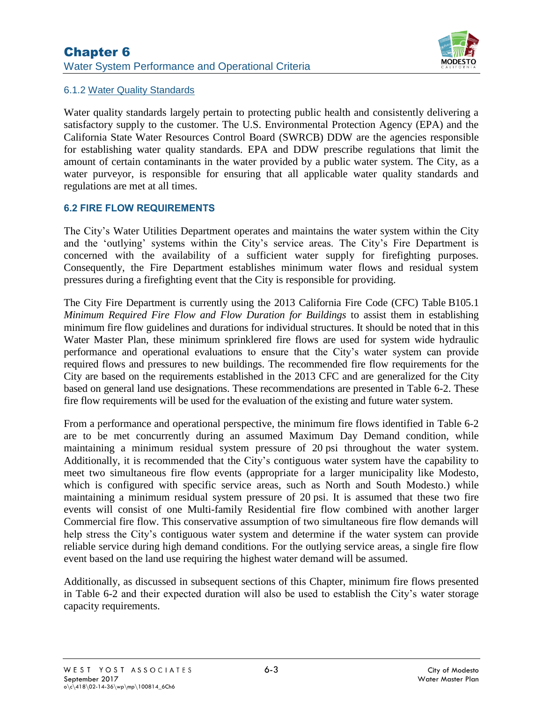# Chapter 6 Water System Performance and Operational Criteria



# 6.1.2 Water Quality Standards

Water quality standards largely pertain to protecting public health and consistently delivering a satisfactory supply to the customer. The U.S. Environmental Protection Agency (EPA) and the California State Water Resources Control Board (SWRCB) DDW are the agencies responsible for establishing water quality standards. EPA and DDW prescribe regulations that limit the amount of certain contaminants in the water provided by a public water system. The City, as a water purveyor, is responsible for ensuring that all applicable water quality standards and regulations are met at all times.

# **6.2 FIRE FLOW REQUIREMENTS**

The City's Water Utilities Department operates and maintains the water system within the City and the 'outlying' systems within the City's service areas. The City's Fire Department is concerned with the availability of a sufficient water supply for firefighting purposes. Consequently, the Fire Department establishes minimum water flows and residual system pressures during a firefighting event that the City is responsible for providing.

The City Fire Department is currently using the 2013 California Fire Code (CFC) Table B105.1 *Minimum Required Fire Flow and Flow Duration for Buildings* to assist them in establishing minimum fire flow guidelines and durations for individual structures. It should be noted that in this Water Master Plan, these minimum sprinklered fire flows are used for system wide hydraulic performance and operational evaluations to ensure that the City's water system can provide required flows and pressures to new buildings. The recommended fire flow requirements for the City are based on the requirements established in the 2013 CFC and are generalized for the City based on general land use designations. These recommendations are presented in [Table 6-2.](#page-3-0) These fire flow requirements will be used for the evaluation of the existing and future water system.

From a performance and operational perspective, the minimum fire flows identified in [Table 6-2](#page-3-0) are to be met concurrently during an assumed Maximum Day Demand condition, while maintaining a minimum residual system pressure of 20 psi throughout the water system. Additionally, it is recommended that the City's contiguous water system have the capability to meet two simultaneous fire flow events (appropriate for a larger municipality like Modesto, which is configured with specific service areas, such as North and South Modesto.) while maintaining a minimum residual system pressure of 20 psi. It is assumed that these two fire events will consist of one Multi-family Residential fire flow combined with another larger Commercial fire flow. This conservative assumption of two simultaneous fire flow demands will help stress the City's contiguous water system and determine if the water system can provide reliable service during high demand conditions. For the outlying service areas, a single fire flow event based on the land use requiring the highest water demand will be assumed.

Additionally, as discussed in subsequent sections of this Chapter, minimum fire flows presented in [Table 6-2](#page-3-0) and their expected duration will also be used to establish the City's water storage capacity requirements.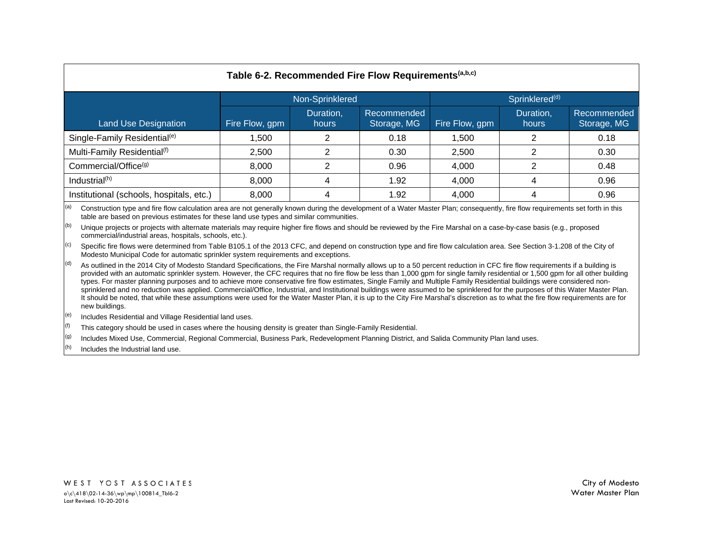<span id="page-3-0"></span>

| Table 6-2. Recommended Fire Flow Requirements <sup>(a,b,c)</sup> |                 |                    |                            |                            |                    |                            |  |  |
|------------------------------------------------------------------|-----------------|--------------------|----------------------------|----------------------------|--------------------|----------------------------|--|--|
|                                                                  | Non-Sprinklered |                    |                            | Sprinklered <sup>(d)</sup> |                    |                            |  |  |
| <b>Land Use Designation</b>                                      | Fire Flow, gpm  | Duration,<br>hours | Recommended<br>Storage, MG | Fire Flow, gpm             | Duration,<br>hours | Recommended<br>Storage, MG |  |  |
| Single-Family Residential <sup>(e)</sup>                         | 1,500           | ⌒                  | 0.18                       | 1,500                      |                    | 0.18                       |  |  |
| Multi-Family Residential <sup>(f)</sup>                          | 2.500           | 2                  | 0.30                       | 2,500                      |                    | 0.30                       |  |  |
| Commercial/Office <sup>(g)</sup>                                 | 8,000           | 2                  | 0.96                       | 4,000                      | ົ                  | 0.48                       |  |  |
| Industrial <sup>(h)</sup>                                        | 8,000           | 4                  | 1.92                       | 4,000                      |                    | 0.96                       |  |  |
| Institutional (schools, hospitals, etc.)                         | 8,000           | 4                  | 1.92                       | 4,000                      |                    | 0.96                       |  |  |

Construction type and fire flow calculation area are not generally known during the development of a Water Master Plan; consequently, fire flow requirements set forth in this table are based on previous estimates for these land use types and similar communities.

 $\left<$ <sup>(b)</sup> Unique projects or projects with alternate materials may require higher fire flows and should be reviewed by the Fire Marshal on a case-by-case basis (e.g., proposed commercial/industrial areas, hospitals, schools, etc.).

Specific fire flows were determined from Table B105.1 of the 2013 CFC, and depend on construction type and fire flow calculation area. See Section 3-1.208 of the City of Modesto Municipal Code for automatic sprinkler system requirements and exceptions.

 $\vert^{(d)}$  As outlined in the 2014 City of Modesto Standard Specifications, the Fire Marshal normally allows up to a 50 percent reduction in CFC fire flow requirements if a building is provided with an automatic sprinkler system. However, the CFC requires that no fire flow be less than 1,000 gpm for single family residential or 1,500 gpm for all other building types. For master planning purposes and to achieve more conservative fire flow estimates. Single Family and Multiple Family Residential buildings were considered nonsprinklered and no reduction was applied. Commercial/Office, Industrial, and Institutional buildings were assumed to be sprinklered for the purposes of this Water Master Plan. It should be noted, that while these assumptions were used for the Water Master Plan, it is up to the City Fire Marshal's discretion as to what the fire flow requirements are for new buildings.

<sup>(g)</sup> Includes Mixed Use, Commercial, Regional Commercial, Business Park, Redevelopment Planning District, and Salida Community Plan land uses.

Includes the Industrial land use.

<sup>(</sup>e) Includes Residential and Village Residential land uses.

This category should be used in cases where the housing density is greater than Single-Family Residential.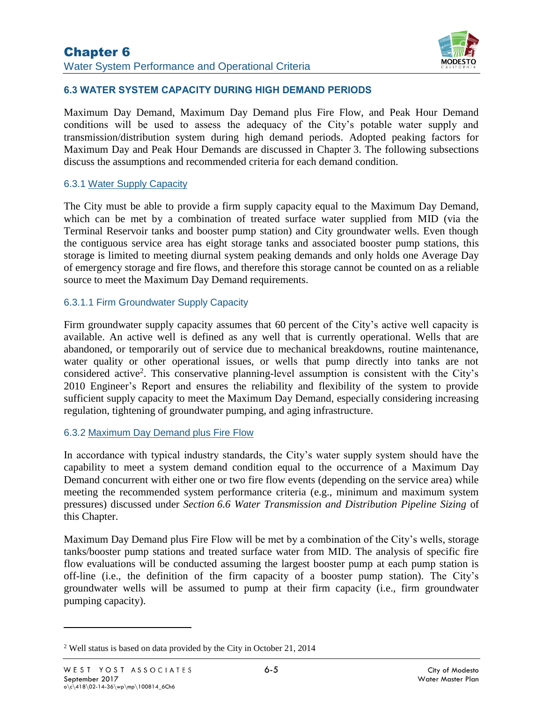

# **6.3 WATER SYSTEM CAPACITY DURING HIGH DEMAND PERIODS**

Maximum Day Demand, Maximum Day Demand plus Fire Flow, and Peak Hour Demand conditions will be used to assess the adequacy of the City's potable water supply and transmission/distribution system during high demand periods. Adopted peaking factors for Maximum Day and Peak Hour Demands are discussed in Chapter 3. The following subsections discuss the assumptions and recommended criteria for each demand condition.

#### 6.3.1 Water Supply Capacity

The City must be able to provide a firm supply capacity equal to the Maximum Day Demand, which can be met by a combination of treated surface water supplied from MID (via the Terminal Reservoir tanks and booster pump station) and City groundwater wells. Even though the contiguous service area has eight storage tanks and associated booster pump stations, this storage is limited to meeting diurnal system peaking demands and only holds one Average Day of emergency storage and fire flows, and therefore this storage cannot be counted on as a reliable source to meet the Maximum Day Demand requirements.

### 6.3.1.1 Firm Groundwater Supply Capacity

Firm groundwater supply capacity assumes that 60 percent of the City's active well capacity is available. An active well is defined as any well that is currently operational. Wells that are abandoned, or temporarily out of service due to mechanical breakdowns, routine maintenance, water quality or other operational issues, or wells that pump directly into tanks are not considered active<sup>2</sup>. This conservative planning-level assumption is consistent with the City's 2010 Engineer's Report and ensures the reliability and flexibility of the system to provide sufficient supply capacity to meet the Maximum Day Demand, especially considering increasing regulation, tightening of groundwater pumping, and aging infrastructure.

### 6.3.2 Maximum Day Demand plus Fire Flow

In accordance with typical industry standards, the City's water supply system should have the capability to meet a system demand condition equal to the occurrence of a Maximum Day Demand concurrent with either one or two fire flow events (depending on the service area) while meeting the recommended system performance criteria (e.g., minimum and maximum system pressures) discussed under *Section 6.6 Water Transmission and Distribution Pipeline Sizing* of this Chapter.

Maximum Day Demand plus Fire Flow will be met by a combination of the City's wells, storage tanks/booster pump stations and treated surface water from MID. The analysis of specific fire flow evaluations will be conducted assuming the largest booster pump at each pump station is off-line (i.e., the definition of the firm capacity of a booster pump station). The City's groundwater wells will be assumed to pump at their firm capacity (i.e.*,* firm groundwater pumping capacity).

 $\overline{a}$ 

<sup>2</sup> Well status is based on data provided by the City in October 21, 2014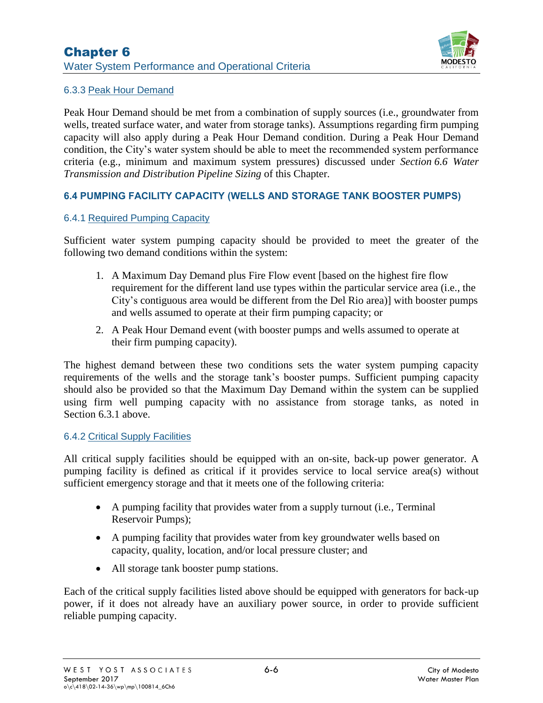

# 6.3.3 Peak Hour Demand

Peak Hour Demand should be met from a combination of supply sources (i.e., groundwater from wells, treated surface water, and water from storage tanks). Assumptions regarding firm pumping capacity will also apply during a Peak Hour Demand condition. During a Peak Hour Demand condition, the City's water system should be able to meet the recommended system performance criteria (e.g., minimum and maximum system pressures) discussed under *Section 6.6 Water Transmission and Distribution Pipeline Sizing* of this Chapter.

# **6.4 PUMPING FACILITY CAPACITY (WELLS AND STORAGE TANK BOOSTER PUMPS)**

# 6.4.1 Required Pumping Capacity

Sufficient water system pumping capacity should be provided to meet the greater of the following two demand conditions within the system:

- 1. A Maximum Day Demand plus Fire Flow event [based on the highest fire flow requirement for the different land use types within the particular service area (i.e., the City's contiguous area would be different from the Del Rio area)] with booster pumps and wells assumed to operate at their firm pumping capacity; or
- 2. A Peak Hour Demand event (with booster pumps and wells assumed to operate at their firm pumping capacity).

The highest demand between these two conditions sets the water system pumping capacity requirements of the wells and the storage tank's booster pumps. Sufficient pumping capacity should also be provided so that the Maximum Day Demand within the system can be supplied using firm well pumping capacity with no assistance from storage tanks, as noted in Section 6.3.1 above.

### 6.4.2 Critical Supply Facilities

All critical supply facilities should be equipped with an on-site, back-up power generator. A pumping facility is defined as critical if it provides service to local service area(s) without sufficient emergency storage and that it meets one of the following criteria:

- A pumping facility that provides water from a supply turnout (i.e*.,* Terminal Reservoir Pumps);
- A pumping facility that provides water from key groundwater wells based on capacity, quality, location, and/or local pressure cluster; and
- All storage tank booster pump stations.

Each of the critical supply facilities listed above should be equipped with generators for back-up power, if it does not already have an auxiliary power source, in order to provide sufficient reliable pumping capacity.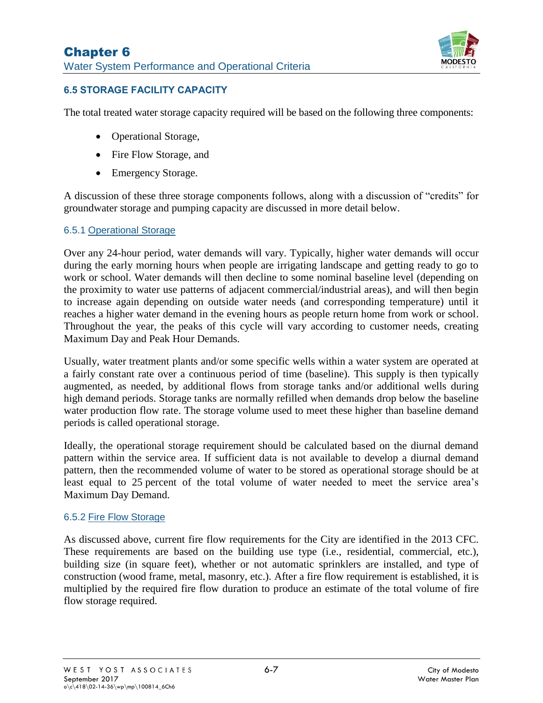

# **6.5 STORAGE FACILITY CAPACITY**

The total treated water storage capacity required will be based on the following three components:

- Operational Storage,
- Fire Flow Storage, and
- Emergency Storage.

A discussion of these three storage components follows, along with a discussion of "credits" for groundwater storage and pumping capacity are discussed in more detail below.

# 6.5.1 Operational Storage

Over any 24-hour period, water demands will vary. Typically, higher water demands will occur during the early morning hours when people are irrigating landscape and getting ready to go to work or school. Water demands will then decline to some nominal baseline level (depending on the proximity to water use patterns of adjacent commercial/industrial areas), and will then begin to increase again depending on outside water needs (and corresponding temperature) until it reaches a higher water demand in the evening hours as people return home from work or school. Throughout the year, the peaks of this cycle will vary according to customer needs, creating Maximum Day and Peak Hour Demands.

Usually, water treatment plants and/or some specific wells within a water system are operated at a fairly constant rate over a continuous period of time (baseline). This supply is then typically augmented, as needed, by additional flows from storage tanks and/or additional wells during high demand periods. Storage tanks are normally refilled when demands drop below the baseline water production flow rate. The storage volume used to meet these higher than baseline demand periods is called operational storage.

Ideally, the operational storage requirement should be calculated based on the diurnal demand pattern within the service area. If sufficient data is not available to develop a diurnal demand pattern, then the recommended volume of water to be stored as operational storage should be at least equal to 25 percent of the total volume of water needed to meet the service area's Maximum Day Demand.

### 6.5.2 Fire Flow Storage

As discussed above, current fire flow requirements for the City are identified in the 2013 CFC. These requirements are based on the building use type (i.e., residential, commercial, etc.), building size (in square feet), whether or not automatic sprinklers are installed, and type of construction (wood frame, metal, masonry, etc.). After a fire flow requirement is established, it is multiplied by the required fire flow duration to produce an estimate of the total volume of fire flow storage required.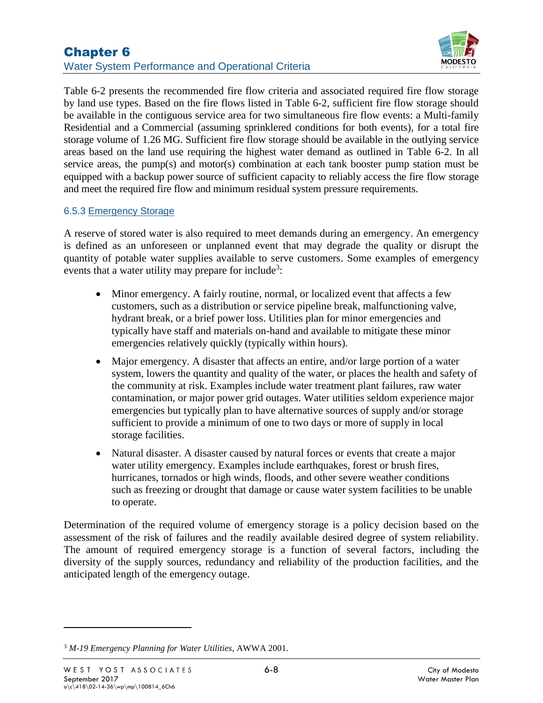

[Table 6-2](#page-3-0) presents the recommended fire flow criteria and associated required fire flow storage by land use types. Based on the fire flows listed in [Table 6-2,](#page-3-0) sufficient fire flow storage should be available in the contiguous service area for two simultaneous fire flow events: a Multi-family Residential and a Commercial (assuming sprinklered conditions for both events), for a total fire storage volume of 1.26 MG. Sufficient fire flow storage should be available in the outlying service areas based on the land use requiring the highest water demand as outlined in [Table 6-2.](#page-3-0) In all service areas, the pump(s) and motor(s) combination at each tank booster pump station must be equipped with a backup power source of sufficient capacity to reliably access the fire flow storage and meet the required fire flow and minimum residual system pressure requirements.

### 6.5.3 Emergency Storage

A reserve of stored water is also required to meet demands during an emergency. An emergency is defined as an unforeseen or unplanned event that may degrade the quality or disrupt the quantity of potable water supplies available to serve customers. Some examples of emergency events that a water utility may prepare for include<sup>3</sup>:

- Minor emergency. A fairly routine, normal, or localized event that affects a few customers, such as a distribution or service pipeline break, malfunctioning valve, hydrant break, or a brief power loss. Utilities plan for minor emergencies and typically have staff and materials on-hand and available to mitigate these minor emergencies relatively quickly (typically within hours).
- Major emergency. A disaster that affects an entire, and/or large portion of a water system, lowers the quantity and quality of the water, or places the health and safety of the community at risk. Examples include water treatment plant failures, raw water contamination, or major power grid outages. Water utilities seldom experience major emergencies but typically plan to have alternative sources of supply and/or storage sufficient to provide a minimum of one to two days or more of supply in local storage facilities.
- Natural disaster. A disaster caused by natural forces or events that create a major water utility emergency. Examples include earthquakes, forest or brush fires, hurricanes, tornados or high winds, floods, and other severe weather conditions such as freezing or drought that damage or cause water system facilities to be unable to operate.

Determination of the required volume of emergency storage is a policy decision based on the assessment of the risk of failures and the readily available desired degree of system reliability. The amount of required emergency storage is a function of several factors, including the diversity of the supply sources, redundancy and reliability of the production facilities, and the anticipated length of the emergency outage.

 $\overline{a}$ 

<sup>3</sup> *M-19 Emergency Planning for Water Utilities*, AWWA 2001.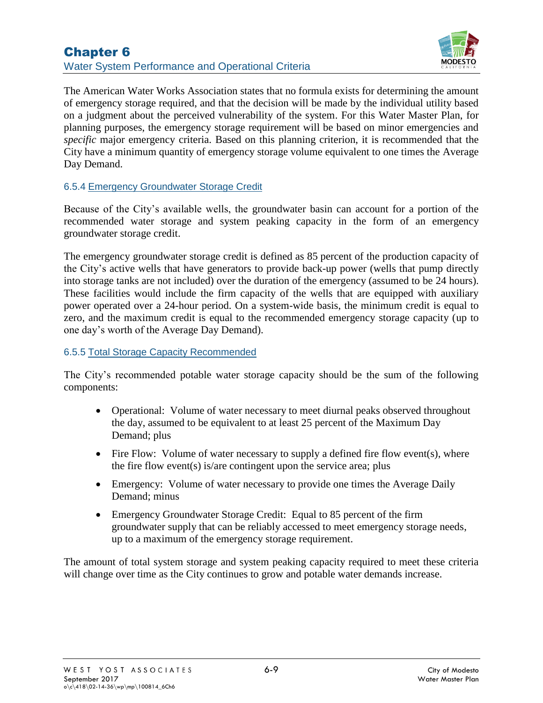# Chapter 6 Water System Performance and Operational Criteria



The American Water Works Association states that no formula exists for determining the amount of emergency storage required, and that the decision will be made by the individual utility based on a judgment about the perceived vulnerability of the system. For this Water Master Plan, for planning purposes, the emergency storage requirement will be based on minor emergencies and *specific* major emergency criteria. Based on this planning criterion, it is recommended that the City have a minimum quantity of emergency storage volume equivalent to one times the Average Day Demand.

# 6.5.4 Emergency Groundwater Storage Credit

Because of the City's available wells, the groundwater basin can account for a portion of the recommended water storage and system peaking capacity in the form of an emergency groundwater storage credit.

The emergency groundwater storage credit is defined as 85 percent of the production capacity of the City's active wells that have generators to provide back-up power (wells that pump directly into storage tanks are not included) over the duration of the emergency (assumed to be 24 hours). These facilities would include the firm capacity of the wells that are equipped with auxiliary power operated over a 24-hour period. On a system-wide basis, the minimum credit is equal to zero, and the maximum credit is equal to the recommended emergency storage capacity (up to one day's worth of the Average Day Demand).

### 6.5.5 Total Storage Capacity Recommended

The City's recommended potable water storage capacity should be the sum of the following components:

- Operational: Volume of water necessary to meet diurnal peaks observed throughout the day, assumed to be equivalent to at least 25 percent of the Maximum Day Demand; plus
- Fire Flow: Volume of water necessary to supply a defined fire flow event(s), where the fire flow event(s) is/are contingent upon the service area; plus
- Emergency: Volume of water necessary to provide one times the Average Daily Demand; minus
- Emergency Groundwater Storage Credit: Equal to 85 percent of the firm groundwater supply that can be reliably accessed to meet emergency storage needs, up to a maximum of the emergency storage requirement.

The amount of total system storage and system peaking capacity required to meet these criteria will change over time as the City continues to grow and potable water demands increase.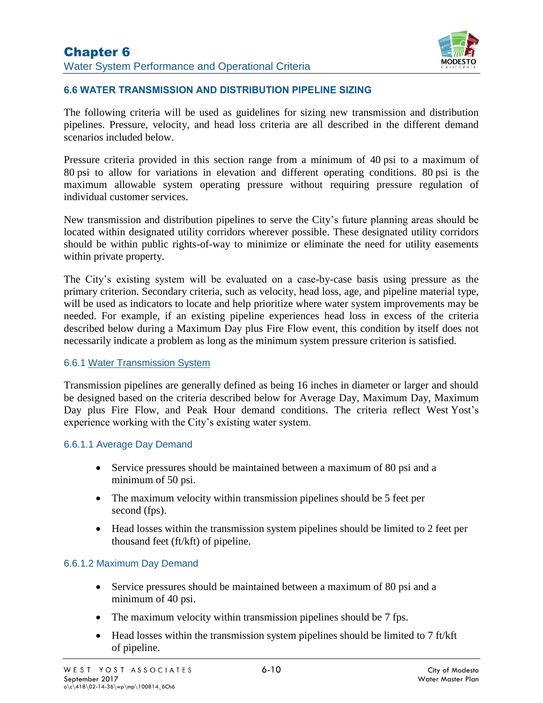

# **6.6 WATER TRANSMISSION AND DISTRIBUTION PIPELINE SIZING**

The following criteria will be used as guidelines for sizing new transmission and distribution pipelines. Pressure, velocity, and head loss criteria are all described in the different demand scenarios included below.

Pressure criteria provided in this section range from a minimum of 40 psi to a maximum of 80 psi to allow for variations in elevation and different operating conditions. 80 psi is the maximum allowable system operating pressure without requiring pressure regulation of individual customer services.

New transmission and distribution pipelines to serve the City's future planning areas should be located within designated utility corridors wherever possible. These designated utility corridors should be within public rights-of-way to minimize or eliminate the need for utility easements within private property.

The City's existing system will be evaluated on a case-by-case basis using pressure as the primary criterion. Secondary criteria, such as velocity, head loss, age, and pipeline material type, will be used as indicators to locate and help prioritize where water system improvements may be needed. For example, if an existing pipeline experiences head loss in excess of the criteria described below during a Maximum Day plus Fire Flow event, this condition by itself does not necessarily indicate a problem as long as the minimum system pressure criterion is satisfied.

### 6.6.1 Water Transmission System

Transmission pipelines are generally defined as being 16 inches in diameter or larger and should be designed based on the criteria described below for Average Day, Maximum Day, Maximum Day plus Fire Flow, and Peak Hour demand conditions. The criteria reflect West Yost's experience working with the City's existing water system.

### 6.6.1.1 Average Day Demand

- Service pressures should be maintained between a maximum of 80 psi and a minimum of 50 psi.
- The maximum velocity within transmission pipelines should be 5 feet per second (fps).
- Head losses within the transmission system pipelines should be limited to 2 feet per thousand feet (ft/kft) of pipeline.

### 6.6.1.2 Maximum Day Demand

- Service pressures should be maintained between a maximum of 80 psi and a minimum of 40 psi.
- The maximum velocity within transmission pipelines should be 7 fps.
- Head losses within the transmission system pipelines should be limited to  $7 \text{ ft/kt}$ of pipeline.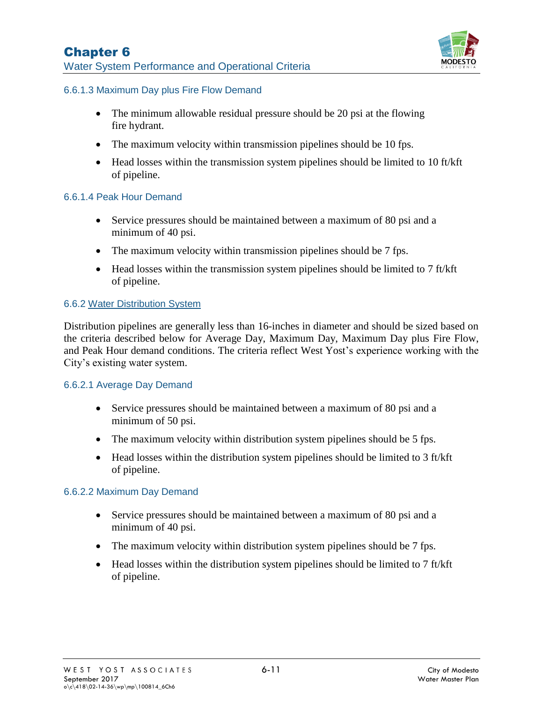

## 6.6.1.3 Maximum Day plus Fire Flow Demand

- The minimum allowable residual pressure should be 20 psi at the flowing fire hydrant.
- The maximum velocity within transmission pipelines should be 10 fps.
- Head losses within the transmission system pipelines should be limited to 10 ft/kft of pipeline.

### 6.6.1.4 Peak Hour Demand

- Service pressures should be maintained between a maximum of 80 psi and a minimum of 40 psi.
- The maximum velocity within transmission pipelines should be 7 fps.
- Head losses within the transmission system pipelines should be limited to  $7 \text{ ft/kt}$ of pipeline.

# 6.6.2 Water Distribution System

Distribution pipelines are generally less than 16-inches in diameter and should be sized based on the criteria described below for Average Day, Maximum Day, Maximum Day plus Fire Flow, and Peak Hour demand conditions. The criteria reflect West Yost's experience working with the City's existing water system.

### 6.6.2.1 Average Day Demand

- Service pressures should be maintained between a maximum of 80 psi and a minimum of 50 psi.
- The maximum velocity within distribution system pipelines should be 5 fps.
- Head losses within the distribution system pipelines should be limited to 3 ft/kft of pipeline.

### 6.6.2.2 Maximum Day Demand

- Service pressures should be maintained between a maximum of 80 psi and a minimum of 40 psi.
- The maximum velocity within distribution system pipelines should be 7 fps.
- Head losses within the distribution system pipelines should be limited to 7 ft/kft of pipeline.